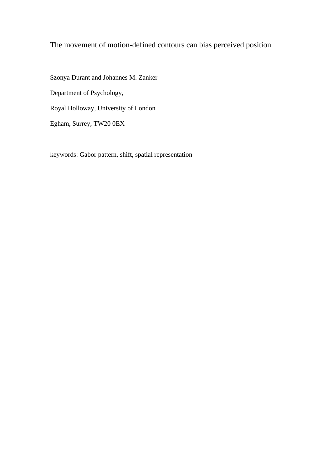# The movement of motion-defined contours can bias perceived position

Szonya Durant and Johannes M. Zanker Department of Psychology, Royal Holloway, University of London Egham, Surrey, TW20 0EX

keywords: Gabor pattern, shift, spatial representation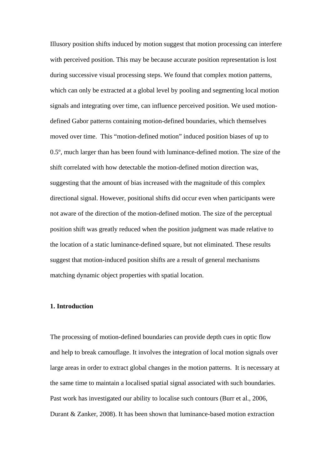Illusory position shifts induced by motion suggest that motion processing can interfere with perceived position. This may be because accurate position representation is lost during successive visual processing steps. We found that complex motion patterns, which can only be extracted at a global level by pooling and segmenting local motion signals and integrating over time, can influence perceived position. We used motiondefined Gabor patterns containing motion-defined boundaries, which themselves moved over time. This "motion-defined motion" induced position biases of up to 0.5º, much larger than has been found with luminance-defined motion. The size of the shift correlated with how detectable the motion-defined motion direction was, suggesting that the amount of bias increased with the magnitude of this complex directional signal. However, positional shifts did occur even when participants were not aware of the direction of the motion-defined motion. The size of the perceptual position shift was greatly reduced when the position judgment was made relative to the location of a static luminance-defined square, but not eliminated. These results suggest that motion-induced position shifts are a result of general mechanisms matching dynamic object properties with spatial location.

## **1. Introduction**

The processing of motion-defined boundaries can provide depth cues in optic flow and help to break camouflage. It involves the integration of local motion signals over large areas in order to extract global changes in the motion patterns. It is necessary at the same time to maintain a localised spatial signal associated with such boundaries. Past work has investigated our ability to localise such contours (Burr et al., 2006, Durant & Zanker, 2008). It has been shown that luminance-based motion extraction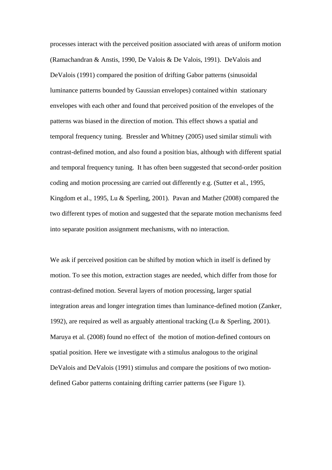processes interact with the perceived position associated with areas of uniform motion (Ramachandran & Anstis, 1990, De Valois & De Valois, 1991). DeValois and DeValois (1991) compared the position of drifting Gabor patterns (sinusoidal luminance patterns bounded by Gaussian envelopes) contained within stationary envelopes with each other and found that perceived position of the envelopes of the patterns was biased in the direction of motion. This effect shows a spatial and temporal frequency tuning. Bressler and Whitney (2005) used similar stimuli with contrast-defined motion, and also found a position bias, although with different spatial and temporal frequency tuning. It has often been suggested that second-order position coding and motion processing are carried out differently e.g. (Sutter et al., 1995, Kingdom et al., 1995, Lu & Sperling, 2001). Pavan and Mather (2008) compared the two different types of motion and suggested that the separate motion mechanisms feed into separate position assignment mechanisms, with no interaction.

We ask if perceived position can be shifted by motion which in itself is defined by motion. To see this motion, extraction stages are needed, which differ from those for contrast-defined motion. Several layers of motion processing, larger spatial integration areas and longer integration times than luminance-defined motion (Zanker, 1992), are required as well as arguably attentional tracking (Lu & Sperling, 2001). Maruya et al. (2008) found no effect of the motion of motion-defined contours on spatial position. Here we investigate with a stimulus analogous to the original DeValois and DeValois (1991) stimulus and compare the positions of two motiondefined Gabor patterns containing drifting carrier patterns (see Figure 1).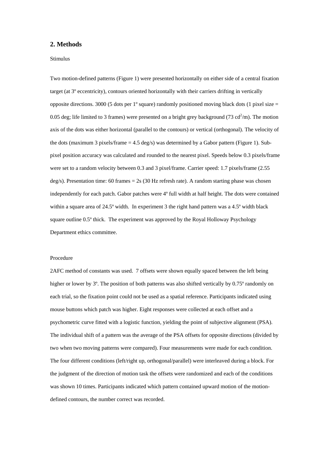### **2. Methods**

#### Stimulus

Two motion-defined patterns (Figure 1) were presented horizontally on either side of a central fixation target (at 3º eccentricity), contours oriented horizontally with their carriers drifting in vertically opposite directions. 3000 (5 dots per  $1^{\circ}$  square) randomly positioned moving black dots (1 pixel size = 0.05 deg; life limited to 3 frames) were presented on a bright grey background (73 cd<sup>2</sup>/m). The motion axis of the dots was either horizontal (parallel to the contours) or vertical (orthogonal). The velocity of the dots (maximum 3 pixels/frame  $= 4.5 \text{ deg/s}$ ) was determined by a Gabor pattern (Figure 1). Subpixel position accuracy was calculated and rounded to the nearest pixel. Speeds below 0.3 pixels/frame were set to a random velocity between 0.3 and 3 pixel/frame. Carrier speed: 1.7 pixels/frame (2.55 deg/s). Presentation time: 60 frames = 2s (30 Hz refresh rate). A random starting phase was chosen independently for each patch. Gabor patches were 4º full width at half height. The dots were contained within a square area of 24.5° width. In experiment 3 the right hand pattern was a 4.5° width black square outline 0.5º thick. The experiment was approved by the Royal Holloway Psychology Department ethics committee.

#### Procedure

2AFC method of constants was used. 7 offsets were shown equally spaced between the left being higher or lower by  $3^\circ$ . The position of both patterns was also shifted vertically by 0.75° randomly on each trial, so the fixation point could not be used as a spatial reference. Participants indicated using mouse buttons which patch was higher. Eight responses were collected at each offset and a psychometric curve fitted with a logistic function, yielding the point of subjective alignment (PSA). The individual shift of a pattern was the average of the PSA offsets for opposite directions (divided by two when two moving patterns were compared). Four measurements were made for each condition. The four different conditions (left/right up, orthogonal/parallel) were interleaved during a block. For the judgment of the direction of motion task the offsets were randomized and each of the conditions was shown 10 times. Participants indicated which pattern contained upward motion of the motiondefined contours, the number correct was recorded.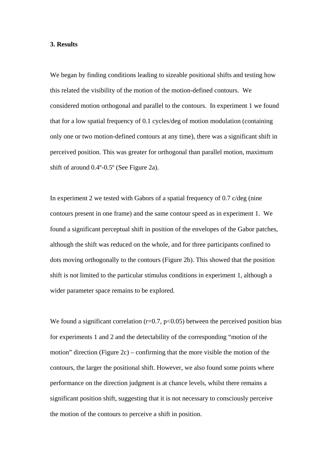## **3. Results**

We began by finding conditions leading to sizeable positional shifts and testing how this related the visibility of the motion of the motion-defined contours. We considered motion orthogonal and parallel to the contours. In experiment 1 we found that for a low spatial frequency of 0.1 cycles/deg of motion modulation (containing only one or two motion-defined contours at any time), there was a significant shift in perceived position. This was greater for orthogonal than parallel motion, maximum shift of around 0.4º-0.5º (See Figure 2a).

In experiment 2 we tested with Gabors of a spatial frequency of 0.7 c/deg (nine contours present in one frame) and the same contour speed as in experiment 1. We found a significant perceptual shift in position of the envelopes of the Gabor patches, although the shift was reduced on the whole, and for three participants confined to dots moving orthogonally to the contours (Figure 2b). This showed that the position shift is not limited to the particular stimulus conditions in experiment 1, although a wider parameter space remains to be explored.

We found a significant correlation  $(r=0.7, p<0.05)$  between the perceived position bias for experiments 1 and 2 and the detectability of the corresponding "motion of the motion" direction (Figure 2c) – confirming that the more visible the motion of the contours, the larger the positional shift. However, we also found some points where performance on the direction judgment is at chance levels, whilst there remains a significant position shift, suggesting that it is not necessary to consciously perceive the motion of the contours to perceive a shift in position.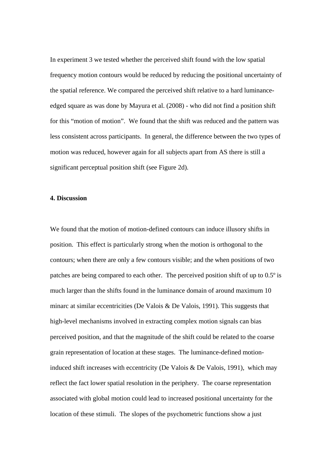In experiment 3 we tested whether the perceived shift found with the low spatial frequency motion contours would be reduced by reducing the positional uncertainty of the spatial reference. We compared the perceived shift relative to a hard luminanceedged square as was done by Mayura et al. (2008) - who did not find a position shift for this "motion of motion". We found that the shift was reduced and the pattern was less consistent across participants. In general, the difference between the two types of motion was reduced, however again for all subjects apart from AS there is still a significant perceptual position shift (see Figure 2d).

# **4. Discussion**

We found that the motion of motion-defined contours can induce illusory shifts in position. This effect is particularly strong when the motion is orthogonal to the contours; when there are only a few contours visible; and the when positions of two patches are being compared to each other. The perceived position shift of up to 0.5º is much larger than the shifts found in the luminance domain of around maximum 10 minarc at similar eccentricities (De Valois & De Valois, 1991). This suggests that high-level mechanisms involved in extracting complex motion signals can bias perceived position, and that the magnitude of the shift could be related to the coarse grain representation of location at these stages. The luminance-defined motioninduced shift increases with eccentricity (De Valois & De Valois, 1991), which may reflect the fact lower spatial resolution in the periphery. The coarse representation associated with global motion could lead to increased positional uncertainty for the location of these stimuli. The slopes of the psychometric functions show a just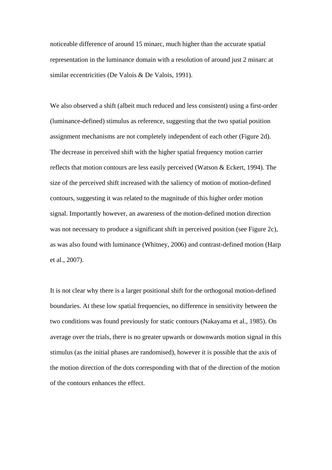noticeable difference of around 15 minarc, much higher than the accurate spatial representation in the luminance domain with a resolution of around just 2 minarc at similar eccentricities (De Valois & De Valois, 1991).

We also observed a shift (albeit much reduced and less consistent) using a first-order (luminance-defined) stimulus as reference, suggesting that the two spatial position assignment mechanisms are not completely independent of each other (Figure 2d). The decrease in perceived shift with the higher spatial frequency motion carrier reflects that motion contours are less easily perceived (Watson & Eckert, 1994). The size of the perceived shift increased with the saliency of motion of motion-defined contours, suggesting it was related to the magnitude of this higher order motion signal. Importantly however, an awareness of the motion-defined motion direction was not necessary to produce a significant shift in perceived position (see Figure 2c), as was also found with luminance (Whitney, 2006) and contrast-defined motion (Harp et al., 2007).

It is not clear why there is a larger positional shift for the orthogonal motion-defined boundaries. At these low spatial frequencies, no difference in sensitivity between the two conditions was found previously for static contours (Nakayama et al., 1985). On average over the trials, there is no greater upwards or downwards motion signal in this stimulus (as the initial phases are randomised), however it is possible that the axis of the motion direction of the dots corresponding with that of the direction of the motion of the contours enhances the effect.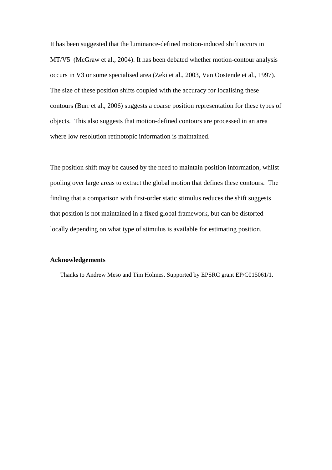It has been suggested that the luminance-defined motion-induced shift occurs in MT/V5 (McGraw et al., 2004). It has been debated whether motion-contour analysis occurs in V3 or some specialised area (Zeki et al., 2003, Van Oostende et al., 1997). The size of these position shifts coupled with the accuracy for localising these contours (Burr et al., 2006) suggests a coarse position representation for these types of objects. This also suggests that motion-defined contours are processed in an area where low resolution retinotopic information is maintained.

The position shift may be caused by the need to maintain position information, whilst pooling over large areas to extract the global motion that defines these contours. The finding that a comparison with first-order static stimulus reduces the shift suggests that position is not maintained in a fixed global framework, but can be distorted locally depending on what type of stimulus is available for estimating position.

# **Acknowledgements**

Thanks to Andrew Meso and Tim Holmes. Supported by EPSRC grant EP/C015061/1.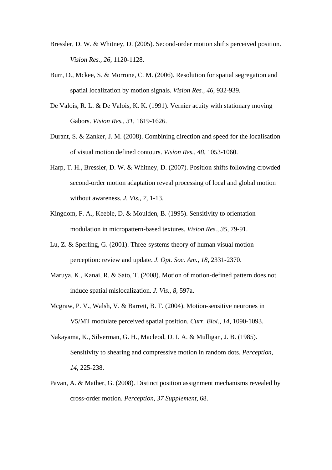- Bressler, D. W. & Whitney, D. (2005). Second-order motion shifts perceived position. *Vision Res., 26*, 1120-1128.
- Burr, D., Mckee, S. & Morrone, C. M. (2006). Resolution for spatial segregation and spatial localization by motion signals. *Vision Res., 46*, 932-939.
- De Valois, R. L. & De Valois, K. K. (1991). Vernier acuity with stationary moving Gabors. *Vision Res., 31*, 1619-1626.
- Durant, S. & Zanker, J. M. (2008). Combining direction and speed for the localisation of visual motion defined contours. *Vision Res., 48*, 1053-1060.
- Harp, T. H., Bressler, D. W. & Whitney, D. (2007). Position shifts following crowded second-order motion adaptation reveal processing of local and global motion without awareness. *J. Vis., 7*, 1-13.
- Kingdom, F. A., Keeble, D. & Moulden, B. (1995). Sensitivity to orientation modulation in micropattern-based textures. *Vision Res., 35*, 79-91.
- Lu, Z. & Sperling, G. (2001). Three-systems theory of human visual motion perception: review and update. *J. Opt. Soc. Am., 18*, 2331-2370.
- Maruya, K., Kanai, R. & Sato, T. (2008). Motion of motion-defined pattern does not induce spatial mislocalization. *J. Vis., 8*, 597a.
- Mcgraw, P. V., Walsh, V. & Barrett, B. T. (2004). Motion-sensitive neurones in V5/MT modulate perceived spatial position. *Curr. Biol., 14*, 1090-1093.
- Nakayama, K., Silverman, G. H., Macleod, D. I. A. & Mulligan, J. B. (1985). Sensitivity to shearing and compressive motion in random dots. *Perception, 14*, 225-238.
- Pavan, A. & Mather, G. (2008). Distinct position assignment mechanisms revealed by cross-order motion. *Perception, 37 Supplement*, 68.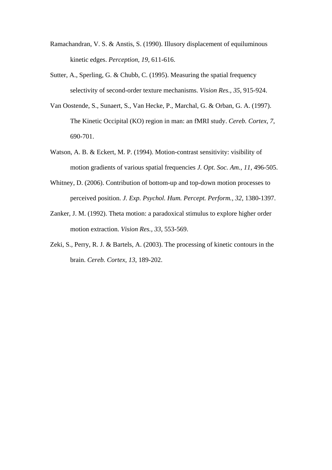- Ramachandran, V. S. & Anstis, S. (1990). Illusory displacement of equiluminous kinetic edges. *Perception, 19*, 611-616.
- Sutter, A., Sperling, G. & Chubb, C. (1995). Measuring the spatial frequency selectivity of second-order texture mechanisms. *Vision Res., 35*, 915-924.
- Van Oostende, S., Sunaert, S., Van Hecke, P., Marchal, G. & Orban, G. A. (1997). The Kinetic Occipital (KO) region in man: an fMRI study. *Cereb. Cortex, 7*, 690-701.
- Watson, A. B. & Eckert, M. P. (1994). Motion-contrast sensitivity: visibility of motion gradients of various spatial frequencies *J. Opt. Soc. Am., 11*, 496-505.
- Whitney, D. (2006). Contribution of bottom-up and top-down motion processes to perceived position. *J. Exp. Psychol. Hum. Percept. Perform., 32*, 1380-1397.
- Zanker, J. M. (1992). Theta motion: a paradoxical stimulus to explore higher order motion extraction. *Vision Res., 33*, 553-569.
- Zeki, S., Perry, R. J. & Bartels, A. (2003). The processing of kinetic contours in the brain. *Cereb. Cortex, 13*, 189-202.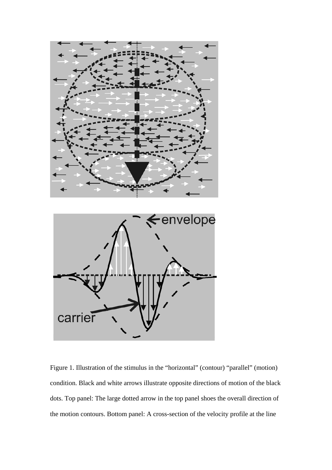

Figure 1. Illustration of the stimulus in the "horizontal" (contour) "parallel" (motion) condition. Black and white arrows illustrate opposite directions of motion of the black dots. Top panel: The large dotted arrow in the top panel shoes the overall direction of the motion contours. Bottom panel: A cross-section of the velocity profile at the line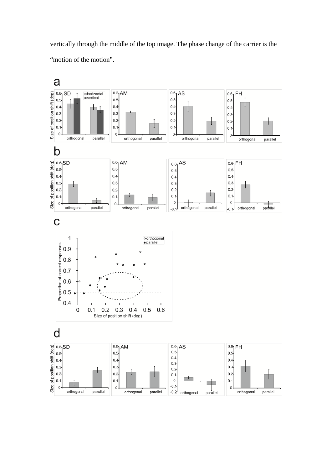vertically through the middle of the top image. The phase change of the carrier is the "motion of the motion".